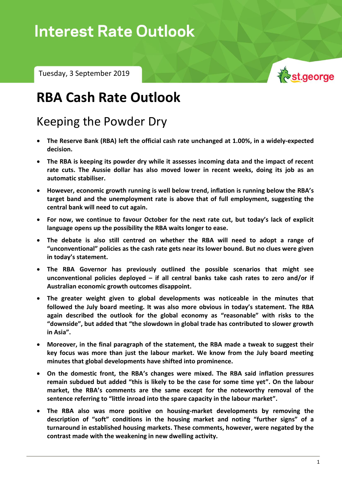# **Interest Rate Outlook**

Tuesday, 3 September 2019



## **RBA Cash Rate Outlook**

### Keeping the Powder Dry

- **The Reserve Bank (RBA) left the official cash rate unchanged at 1.00%, in a widely-expected decision.**
- **The RBA is keeping its powder dry while it assesses incoming data and the impact of recent rate cuts. The Aussie dollar has also moved lower in recent weeks, doing its job as an automatic stabiliser.**
- **However, economic growth running is well below trend, inflation is running below the RBA's target band and the unemployment rate is above that of full employment, suggesting the central bank will need to cut again.**
- **For now, we continue to favour October for the next rate cut, but today's lack of explicit language opens up the possibility the RBA waits longer to ease.**
- **The debate is also still centred on whether the RBA will need to adopt a range of "unconventional" policies as the cash rate gets near its lower bound. But no clues were given in today's statement.**
- **The RBA Governor has previously outlined the possible scenarios that might see unconventional policies deployed – if all central banks take cash rates to zero and/or if Australian economic growth outcomes disappoint.**
- **The greater weight given to global developments was noticeable in the minutes that followed the July board meeting. It was also more obvious in today's statement. The RBA again described the outlook for the global economy as "reasonable" with risks to the "downside", but added that "the slowdown in global trade has contributed to slower growth in Asia".**
- **Moreover, in the final paragraph of the statement, the RBA made a tweak to suggest their key focus was more than just the labour market. We know from the July board meeting minutes that global developments have shifted into prominence.**
- **On the domestic front, the RBA's changes were mixed. The RBA said inflation pressures remain subdued but added "this is likely to be the case for some time yet". On the labour market, the RBA's comments are the same except for the noteworthy removal of the sentence referring to "little inroad into the spare capacity in the labour market".**
- **The RBA also was more positive on housing-market developments by removing the description of "soft" conditions in the housing market and noting "further signs" of a turnaround in established housing markets. These comments, however, were negated by the contrast made with the weakening in new dwelling activity.**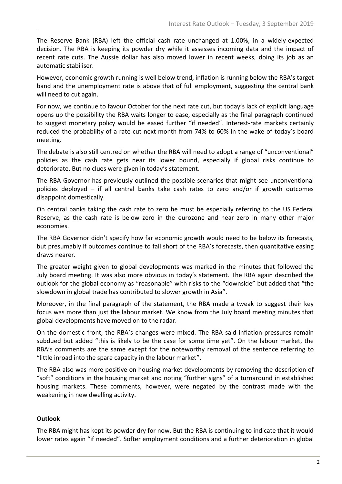The Reserve Bank (RBA) left the official cash rate unchanged at 1.00%, in a widely-expected decision. The RBA is keeping its powder dry while it assesses incoming data and the impact of recent rate cuts. The Aussie dollar has also moved lower in recent weeks, doing its job as an automatic stabiliser.

However, economic growth running is well below trend, inflation is running below the RBA's target band and the unemployment rate is above that of full employment, suggesting the central bank will need to cut again.

For now, we continue to favour October for the next rate cut, but today's lack of explicit language opens up the possibility the RBA waits longer to ease, especially as the final paragraph continued to suggest monetary policy would be eased further "if needed". Interest-rate markets certainly reduced the probability of a rate cut next month from 74% to 60% in the wake of today's board meeting.

The debate is also still centred on whether the RBA will need to adopt a range of "unconventional" policies as the cash rate gets near its lower bound, especially if global risks continue to deteriorate. But no clues were given in today's statement.

The RBA Governor has previously outlined the possible scenarios that might see unconventional policies deployed – if all central banks take cash rates to zero and/or if growth outcomes disappoint domestically.

On central banks taking the cash rate to zero he must be especially referring to the US Federal Reserve, as the cash rate is below zero in the eurozone and near zero in many other major economies.

The RBA Governor didn't specify how far economic growth would need to be below its forecasts, but presumably if outcomes continue to fall short of the RBA's forecasts, then quantitative easing draws nearer.

The greater weight given to global developments was marked in the minutes that followed the July board meeting. It was also more obvious in today's statement. The RBA again described the outlook for the global economy as "reasonable" with risks to the "downside" but added that "the slowdown in global trade has contributed to slower growth in Asia".

Moreover, in the final paragraph of the statement, the RBA made a tweak to suggest their key focus was more than just the labour market. We know from the July board meeting minutes that global developments have moved on to the radar.

On the domestic front, the RBA's changes were mixed. The RBA said inflation pressures remain subdued but added "this is likely to be the case for some time yet". On the labour market, the RBA's comments are the same except for the noteworthy removal of the sentence referring to "little inroad into the spare capacity in the labour market".

The RBA also was more positive on housing-market developments by removing the description of "soft" conditions in the housing market and noting "further signs" of a turnaround in established housing markets. These comments, however, were negated by the contrast made with the weakening in new dwelling activity.

#### **Outlook**

The RBA might has kept its powder dry for now. But the RBA is continuing to indicate that it would lower rates again "if needed". Softer employment conditions and a further deterioration in global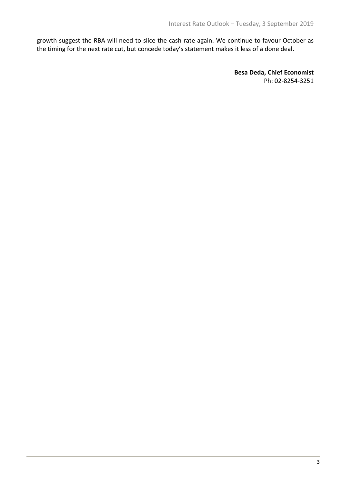growth suggest the RBA will need to slice the cash rate again. We continue to favour October as the timing for the next rate cut, but concede today's statement makes it less of a done deal.

> **Besa Deda, Chief Economist** Ph: 02-8254-3251